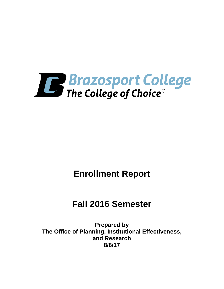

# **Enrollment Report**

# **Fall 2016 Semester**

**Prepared by The Office of Planning, Institutional Effectiveness, and Research 8/8/17**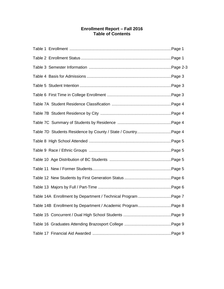# **Enrollment Report – Fall 2016 Table of Contents**

| Table 14A Enrollment by Department / Technical Program Page 7 |  |
|---------------------------------------------------------------|--|
| Table 14B Enrollment by Department / Academic ProgramPage 8   |  |
|                                                               |  |
|                                                               |  |
|                                                               |  |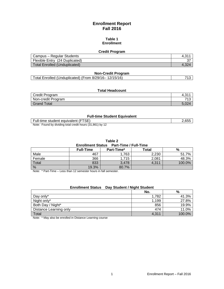# **Enrollment Report Fall 2016**

#### **Table 1 Enrollment**

## **Credit Program**

| Campus – Regular Students      |  |
|--------------------------------|--|
| Flexible Entry (24 Duplicated) |  |
| Total Enrolled (Unduplicated)  |  |

## **Non-Credit Program**

|--|

## **Total Headcount**

| Credit Program     | ົດ 4<br>−…… |
|--------------------|-------------|
| Non-credit Program | 740         |
| <b>Grand Total</b> | E OOZ<br>-  |

#### **Full-time Student Equivalent**

| Full-time student equivalent (FTSE)                       | 2,655 |
|-----------------------------------------------------------|-------|
| Note: Found by dividing total credit hours (31,861) by 12 |       |

**Table 2**

#### **Enrollment Status Part-Time / Full-Time**

|        | <b>Full-Time</b> | Part-Time* | Total | %      |
|--------|------------------|------------|-------|--------|
| Male   | 467              | .763       | 2,230 | 51.7%  |
| Female | 366              | 1.715      | 2,081 | 48.3%  |
| Total  | 833              | 3,478      | 4,311 | 100.0% |
| %      | 19.3%            | 80.7%      |       |        |

Note: \* Part-Time – Less than 12 semester hours in fall semester.

#### **Enrollment Status Day Student / Night Student**

|                        | No.   | %      |
|------------------------|-------|--------|
| Day only*              | 1.782 | 41.3%  |
| Night only*            | 1,199 | 27.8%  |
| Both Day / Night*      | 856   | 19.9%  |
| Distance Learning only | 474   | 11.0%  |
| Total                  | 4,311 | 100.0% |

Note: \* May also be enrolled in Distance Learning course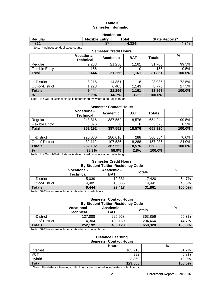## **Table 3 Semester Information**

| <b>Headcount</b>                                            |  |  |  |  |  |  |  |
|-------------------------------------------------------------|--|--|--|--|--|--|--|
| <b>Flexible Entry</b><br>State Reports*<br>Regular<br>Total |  |  |  |  |  |  |  |
| 4.311<br>37<br>4.324<br>4.348                               |  |  |  |  |  |  |  |
| Note: * Includes 24 duplicated counts                       |  |  |  |  |  |  |  |
| <b>Semester Credit Hours</b>                                |  |  |  |  |  |  |  |

|                       | <b>Vocational-</b><br><b>Technical</b> | Academic | <b>BAT</b> | <b>Totals</b> | $\%$   |
|-----------------------|----------------------------------------|----------|------------|---------------|--------|
| Regular               | 9,288                                  | 21,256   | 1.161      | 31,705        | 99.5%  |
| <b>Flexible Entry</b> | 156                                    | O        | 0          | 156           | 0.5%   |
| Total                 | 9,444                                  | 21,256   | 1,161      | 31,861        | 100.0% |
|                       |                                        |          |            |               |        |
| In-District           | 8,216                                  | 14,851   | 18         | 23,085        | 72.5%  |
| Out-of-District       | 1,228                                  | 6,405    | 1,143      | 8,776         | 27.5%  |
| <b>Totals</b>         | 9,444                                  | 21,256   | 1,161      | 31,861        | 100.0% |
| $\frac{9}{6}$         | 29.6%                                  | 66.7%    | 3.7%       | 100.0%        |        |

Note: In / Out-of-District status is determined by where a course is taught.

# **Semester Contact Hours**

|                       | <b>Vocational-</b><br><b>Technical</b> | Academic     | <b>BAT</b> | Totals     | %         |
|-----------------------|----------------------------------------|--------------|------------|------------|-----------|
| Regular               | 248.816                                | 387,552      | 18.576     | 654.944    | 99.5%     |
| <b>Flexible Entry</b> | 3,376                                  |              |            | 3,376      | 0.5%      |
| Total                 | 252,192                                | 387,552      | 18,576     | 658,320    | 100.0%    |
|                       |                                        |              |            |            |           |
| In-District           | 220,080                                | 280,016      | 288        | 500,384    | 76.0%     |
| ________              | -- - - -                               | . <b>. .</b> | .          | . __ _ _ _ | - - - - - |

| .               | -------       | ------  | ---    | ------    | .      |
|-----------------|---------------|---------|--------|-----------|--------|
| Out-of-District | 22.442<br>.∠ت | 107,536 | 18.288 | 157.936   | 24.0%  |
| <b>Totals</b>   | 252.192       | 387,552 | 18.576 | 658.320   | 100.0% |
| $\%$            | 38.3%         | 58.9%   | 2.8%   | $100.0\%$ |        |

Note: In / Out-of-District status is determined by where a course is taught.

#### **Semester Credit Hours By Student Tuition Residency Code**

| <b>PY ONGGLIE FUNION INCORDING VOUC</b>                                  |                                        |                          |               |        |  |  |
|--------------------------------------------------------------------------|----------------------------------------|--------------------------|---------------|--------|--|--|
|                                                                          | <b>Vocational-</b><br><b>Technical</b> | Academic -<br><b>BAT</b> | <b>Totals</b> | %      |  |  |
| In-District                                                              | 5.039                                  | 12.381                   | 17.420        | 54.7%  |  |  |
| Out-of-District                                                          | 4.405                                  | 10,036                   | 14.441        | 45.3%  |  |  |
| <b>Totals</b>                                                            | 9,444                                  | 22,417                   | 31,861        | 100.0% |  |  |
| A between T A T because the second of the A conditional consider because |                                        |                          |               |        |  |  |

Note: BAT hours are included in Academic credit hours.

#### **Semester Contact Hours By Student Tuition Residency Code**

|                 | <b>Vocational-</b><br><b>Technical</b> | Academic -<br><b>BAT</b> | <b>Totals</b> | %      |
|-----------------|----------------------------------------|--------------------------|---------------|--------|
| In-District     | 137,888                                | 225,968                  | 363,856       | 55.3%  |
| Out-of-District | 114.304                                | 180.160                  | 294.464       | 44.7%  |
| <b>Totals</b>   | 252.192                                | 406.128                  | 658.320       | 100.0% |

Note: BAT hours are included in Academic contact hours.

#### **Distance Learning Semester Contact Hours**

|            | <b>Hours</b> | %         |
|------------|--------------|-----------|
| Internet   | 105,216      | 81.2%     |
| <b>VCT</b> | 992          | 0.8%      |
| Hybrid     | 23,360       | 18.0%     |
| Total      | 129,568      | $100.0\%$ |

Note: The distance learning contact hours are included in semester contact hours.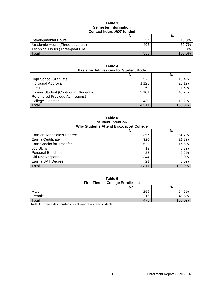#### **Table 3 Semester Information Contact hours** *NOT* **funded**

|                                   | No. | %         |
|-----------------------------------|-----|-----------|
| Developmental Hours               | -57 | 10.3%     |
| Academic Hours (Three-peat rule)  | 498 | 89.7%     |
| Technical Hours (Three-peat rule) |     | $0.0\%$   |
| Total                             | 555 | $100.0\%$ |

**Table 4 Basis for Admissions for Student Body**

|                                        | No.   | %      |
|----------------------------------------|-------|--------|
| <b>High School Graduate</b>            | 576   | 13.4%  |
| Individual Approval                    | 1,126 | 26.1%  |
| G.E.D.                                 | 69    | 1.6%   |
| Former Student (Continuing Student &   | 2,101 | 48.7%  |
| <b>Re-entered Previous Admissions)</b> |       |        |
| <b>College Transfer</b>                | 439   | 10.2%  |
| Total                                  | 4.311 | 100.0% |

**Table 5 Student Intention Why Students Attend Brazosport College**

|                            | No.   | $\%$   |
|----------------------------|-------|--------|
| Earn an Associate's Degree | 2,357 | 54.7%  |
| Earn a Certificate         | 920   | 21.3%  |
| Earn Credits for Transfer  | 629   | 14.6%  |
| Job Skills                 | 12    | 0.3%   |
| <b>Personal Enrichment</b> | 28    | 0.6%   |
| Did Not Respond            | 344   | 8.0%   |
| Earn a BAT Degree          | 21    | 0.5%   |
| Total                      | 4.311 | 100.0% |

**Table 6 First Time in College Enrollment**

|        | --  |        |
|--------|-----|--------|
|        | No. | %      |
| Male   | 259 | 54.5%  |
| Female | 216 | 45.5%  |
| Total  | 475 | 100.0% |

Note: FTIC excludes transfer students and dual credit students.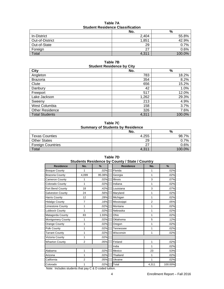| Student Residence Classification |       |        |
|----------------------------------|-------|--------|
|                                  | No.   | %      |
| In-District                      | 2.404 | 55.8%  |
| Out-of-District                  | 1.851 | 42.9%  |
| Out-of-State                     | 29    | 0.7%   |
| Foreign                          | 27    | 0.6%   |
| Total                            | 4,311 | 100.0% |

**Table 7A Student Residence Classification**

#### **Table 7B Student Residence by City**

| <b>City</b>            | No.   | $\%$   |
|------------------------|-------|--------|
| Angleton               | 783   | 18.2%  |
| <b>Brazoria</b>        | 354   | 8.2%   |
| Clute                  | 656   | 15.2%  |
| Danbury                | 42    | 1.0%   |
| Freeport               | 517   | 12.0%  |
| Lake Jackson           | 1,262 | 29.3%  |
| Sweeny                 | 213   | 4.9%   |
| West Columbia          | 158   | 3.7%   |
| <b>Other Residence</b> | 326   | 7.6%   |
| <b>Total Students</b>  | 4,311 | 100.0% |

# **Table 7C Summary of Students by Residence**

|                          | No.   | %      |
|--------------------------|-------|--------|
| <b>Texas Counties</b>    | 4.255 | 98.    |
| <b>Other States</b>      | 29    | 7%     |
| <b>Foreign Countries</b> | 77    | ን.6%   |
| Total                    | 4,311 | 100.0% |

| Students Residence by County / State / Country |                |        |                  |                |         |
|------------------------------------------------|----------------|--------|------------------|----------------|---------|
| <b>Residence</b>                               | No.            | %      | <b>Residence</b> | No.            | %       |
| <b>Bosque County</b>                           | 1              | .02%   | Florida          | 1              | .02%    |
| <b>Brazoria County</b>                         | 4,099          | 95.08% | Georgia          | 1              | .02%    |
| <b>Cameron County</b>                          | 1              | .02%   | <b>Illinois</b>  | 3              | .07%    |
| Colorado County                                | 1              | .02%   | Indiana          | 1              | .02%    |
| Fort Bend County                               | 18             | .42%   | Louisiana        | 3              | .07%    |
| <b>Galveston County</b>                        | 24             | .56%   | Maryland         | 1              | .02%    |
| <b>Harris County</b>                           | 12             | .28%   | Michigan         | 1              | .02%    |
| <b>Hidalgo County</b>                          | $\overline{7}$ | .16%   | Mississippi      | $\overline{2}$ | .05%    |
| <b>Limestone County</b>                        | 1              | .02%   | Montana          | 1              | .02%    |
| <b>Lubbock County</b>                          | 1              | .02%   | Nebraska         | 1              | .02%    |
| Matagorda County                               | 83             | 1.93%  | Ohio             | 1              | .02%    |
| <b>Montgomery County</b>                       | 1              | .02%   | Oklahoma         | 5              | .12%    |
| <b>Orange County</b>                           | 1              | .02%   | Oregon           | 1              | .02%    |
| Polk County                                    | 1              | .02%   | Tennessee        | 1              | .02%    |
| <b>Tarrant County</b>                          | 1              | .02%   | Wisconsin        | 1              | .02%    |
| Victoria County                                | 1              | .02%   |                  |                |         |
| <b>Wharton County</b>                          | 2              | .05%   | Finland          | 1              | .02%    |
|                                                |                |        | India            | 1              | .02%    |
| Alabama                                        | 1              | .02%   | Mexico           | 23             | .53%    |
| Arizona                                        | 1              | .02%   | Thailand         | 1              | .02%    |
| California                                     | $\overline{2}$ | .05%   | Ukraine          | 1              | .02%    |
| Colorado                                       | 1              | .02%   | Total            | 4,311          | 100.00% |

# **Table 7D**

Note: Includes students that pay C & D coded tuition.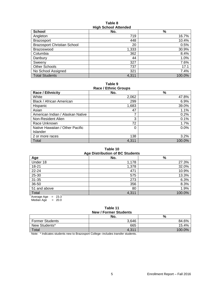#### **Table 8 High School Attended**

| <b>School</b>                      | $1.1911$ concentrations and $2.1$<br>No. | %      |
|------------------------------------|------------------------------------------|--------|
| Angleton                           | 719                                      | 16.7%  |
| <b>Brazosport</b>                  | 448                                      | 10.4%  |
| <b>Brazosport Christian School</b> | 20                                       | 0.5%   |
| Brazoswood                         | 1,333                                    | 30.9%  |
| Columbia                           | 362                                      | 8.4%   |
| Danbury                            | 44                                       | 1.0%   |
| Sweeny                             | 327                                      | 7.6%   |
| Other Schools                      | 737                                      | 17.1   |
| No School Assigned                 | 321                                      | 7.4%   |
| <b>Total Students</b>              | 4,311                                    | 100.0% |

**Table 9 Race / Ethnic Groups**

| <b>Race / Ethnicity</b>          | No.   | %      |  |  |
|----------------------------------|-------|--------|--|--|
| White                            | 2,062 | 47.8%  |  |  |
| Black / African American         | 299   | 6.9%   |  |  |
| Hispanic                         | 1,683 | 39.0%  |  |  |
| Asian                            | 47    | 1.1%   |  |  |
| American Indian / Alaskan Native |       | 0.2%   |  |  |
| Non-Resident Alien               | 3     | 0.1%   |  |  |
| Race Unknown                     | 72    | 1.7%   |  |  |
| Native Hawaiian / Other Pacific  | 0     | 0.0%   |  |  |
| Islander                         |       |        |  |  |
| 2 or more races                  | 138   | 3.2%   |  |  |
| Total                            | 4,311 | 100.0% |  |  |

# **Table 10**

| <b>Age Distribution of BC Students</b> |       |        |  |  |  |  |  |
|----------------------------------------|-------|--------|--|--|--|--|--|
| Age                                    | No.   | $\%$   |  |  |  |  |  |
| Under 18                               | 1,178 | 27.3%  |  |  |  |  |  |
| $18 - 21$                              | 1,378 | 32.0%  |  |  |  |  |  |
| 22-24                                  | 471   | 10.9%  |  |  |  |  |  |
| 25-30                                  | 575   | 13.3%  |  |  |  |  |  |
| $31 - 35$                              | 273   | 6.3%   |  |  |  |  |  |
| 36-50                                  | 356   | 8.3%   |  |  |  |  |  |
| 51 and above                           | 80    | 1.9%   |  |  |  |  |  |
| Total                                  | 4,311 | 100.0% |  |  |  |  |  |
| $= 23.3$<br>Average Age                |       |        |  |  |  |  |  |

Median Age = 20.0

# **Table 11**

| <b>New / Former Students</b> |       |        |  |  |  |
|------------------------------|-------|--------|--|--|--|
| %<br>No.                     |       |        |  |  |  |
| <b>Former Students</b>       | 3,646 | 84.6%  |  |  |  |
| New Students*                | 665   | 15.4%  |  |  |  |
| <b>Total</b>                 | 4,311 | 100.0% |  |  |  |

Note: \* Indicates students new to Brazosport College--includes transfer students.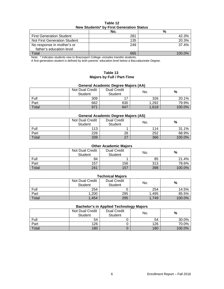| Table 12                                 |
|------------------------------------------|
| New Students* by First Generation Status |

|                                 | No. | %      |
|---------------------------------|-----|--------|
| <b>First Generation Student</b> | 281 | 42.3%  |
| Not First Generation Student    | 135 | 20.3%  |
| No response in mother's or      | 249 | 37.4%  |
| father's education level        |     |        |
| Total                           | 665 | 100 0% |

Note: \* Indicates students new to Brazosport College--includes transfer students.

A first generation student is defined by both parents' education level below a Baccalaureate Degree.

#### **Table 13 Majors by Full / Part-Time**

# **General Academic Degree Majors (AA)**

|       | Not Dual Credit<br><b>Student</b> | <b>Dual Credit</b><br><b>Student</b> | No.   | %      |  |
|-------|-----------------------------------|--------------------------------------|-------|--------|--|
| Full  | 309                               |                                      | 326   | 20.1%  |  |
| Part  | 662                               | 630                                  | 1,292 | 79.9%  |  |
| Total | 971                               | 647                                  | 1,618 | 100.0% |  |

#### **General Academic Degree Majors (AS)**

|       | <b>Not Dual Credit</b><br>Student | <b>Dual Credit</b><br>Student | No. | %      |
|-------|-----------------------------------|-------------------------------|-----|--------|
| Full  | 113                               |                               | 114 | 31.1%  |
| Part  | 226                               | 26                            | 252 | 68.9%  |
| Total | 339                               | 27                            | 366 | 100.0% |

| <b>Other Academic Majors</b> |                                          |                               |     |        |  |  |  |
|------------------------------|------------------------------------------|-------------------------------|-----|--------|--|--|--|
|                              | <b>Not Dual Credit</b><br><b>Student</b> | <b>Dual Credit</b><br>Student | No. | %      |  |  |  |
| Full                         | 84                                       |                               | 85  | 21.4%  |  |  |  |
| Part                         | 157                                      | 156                           | 313 | 78.6%  |  |  |  |
| Total                        | 241                                      | 157                           | 398 | 100.0% |  |  |  |

| <b>Technical Majors</b> |                            |                               |       |        |  |  |  |
|-------------------------|----------------------------|-------------------------------|-------|--------|--|--|--|
|                         | Not Dual Credit<br>Student | <b>Dual Credit</b><br>Student | No.   | %      |  |  |  |
| Full                    | 254                        |                               | 254   | 14.5%  |  |  |  |
| Part                    | 1,200                      | 295                           | 1.495 | 85.5%  |  |  |  |
| Total                   | $-1.454$                   | 295                           | 1.749 | 100.0% |  |  |  |

#### **Bachelor's in Applied Technology Majors**

|       |                            |                                      | ັ   |        |
|-------|----------------------------|--------------------------------------|-----|--------|
|       | Not Dual Credit<br>Student | <b>Dual Credit</b><br><b>Student</b> | No. | %      |
| Full  | 54                         |                                      | 54  | 30.0%  |
| Part  | 126                        |                                      | 126 | 70.0%  |
| Total | 180                        |                                      | 180 | 100.0% |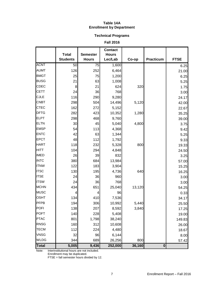#### **Table 14A Enrollment by Department**

# **Technical Programs**

**Fall 2016**

|              | <b>Total</b>    | <b>Semester</b> | <b>Contact</b><br><b>Hours</b> |        |                  |             |
|--------------|-----------------|-----------------|--------------------------------|--------|------------------|-------------|
|              | <b>Students</b> | <b>Hours</b>    | Lec/Lab                        | Co-op  | <b>Practicum</b> | <b>FTSE</b> |
| <b>ACNT</b>  | 50              | $\overline{75}$ | 1,600                          |        |                  | 6.25        |
| <b>AUMT</b>  | 126             | 252             | 6,464                          |        |                  | 21.00       |
| <b>BMGT</b>  | 25              | 75              | 1,200                          |        |                  | 6.25        |
| <b>BUSG</b>  | 21              | 63              | 1,008                          |        |                  | 5.25        |
| <b>CDEC</b>  | 8               | 21              | 624                            | 320    |                  | 1.75        |
| <b>CETT</b>  | 24              | 36              | 768                            |        |                  | 3.00        |
| <b>CJLE</b>  | 116             | 290             | 9,280                          |        |                  | 24.17       |
| <b>CNBT</b>  | 298             | 504             | 14,496                         | 5,120  |                  | 42.00       |
| <b>CTEC</b>  | 162             | 272             | 5,152                          |        |                  | 22.67       |
| <b>DFTG</b>  | 282             | 423             | 10,352                         | 1,280  |                  | 35.25       |
| <b>ELPT</b>  | 298             | 468             | 9,760                          |        |                  | 39.00       |
| <b>ELTN</b>  | 30              | 45              | 5,040                          | 4,800  |                  | 3.75        |
| <b>EMSP</b>  | 54              | 113             | 4,368                          |        |                  | 9.42        |
| <b>ENTC</b>  | 42              | 63              | 1,344                          |        |                  | 5.25        |
| <b>EPCT</b>  | 48              | 112             | 1,792                          |        |                  | 9.33        |
| <b>HART</b>  | 118             | 232             | 5,328                          | 800    |                  | 19.33       |
| <b>HITT</b>  | 104             | 294             | 4,848                          |        |                  | 24.50       |
| <b>IMED</b>  | 26              | 39              | 832                            |        |                  | 3.25        |
| <b>INTC</b>  | 380             | 684             | 13,984                         |        |                  | 57.00       |
| <b>ITNW</b>  | 122             | 183             | 3,904                          |        |                  | 15.25       |
| <b>ITSC</b>  | 130             | 195             | 4,736                          | 640    |                  | 16.25       |
| <b>ITSE</b>  | 24              | 36              | 960                            |        |                  | 3.00        |
| <b>ITSW</b>  | 24              | 36              | 768                            |        |                  | 3.00        |
| <b>MCHN</b>  | 434             | 651             | 25,040                         | 13,120 |                  | 54.25       |
| <b>MUSC</b>  | $\overline{4}$  | 4               | 96                             |        |                  | 0.33        |
| <b>OSHT</b>  | 134             | 410             | 7,536                          |        |                  | 34.17       |
| <b>PFPB</b>  | 194             | 306             | 10,992                         | 5,440  |                  | 25.50       |
| POFI         | 138             | 207             | 8,592                          | 3,840  |                  | 17.25       |
| <b>POFT</b>  | 140             | 228             | 5,408                          |        |                  | 19.00       |
| <b>PTAC</b>  | 801             | 1,798           | 38,240                         |        |                  | 149.83      |
| <b>RNSG</b>  | 160             | 312             | 10,608                         |        |                  | 26.00       |
| <b>TECM</b>  | 112             | 224             | 4,480                          |        |                  | 18.67       |
| <b>VNSG</b>  | 32              | 96              | 6,144                          |        |                  | 8.00        |
| <b>WLDG</b>  | 344             | 689             | 26,256                         | 800    |                  | 57.42       |
| <b>Total</b> | 5,005           | 9,436           | 252,000                        | 36,160 | $\bf{0}$         |             |

Note: Interinstitutional hours are not included.

Enrollment may be duplicated.

FTSE = fall semester hours divided by 12.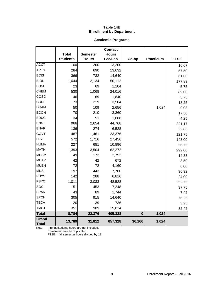## **Table 14B Enrollment by Department**

# **Academic Programs**

|                |                                 |                                 | <b>Contact</b>          |          |           |             |
|----------------|---------------------------------|---------------------------------|-------------------------|----------|-----------|-------------|
|                | <b>Total</b><br><b>Students</b> | <b>Semester</b><br><b>Hours</b> | <b>Hours</b><br>Lec/Lab | Co-op    | Practicum | <b>FTSE</b> |
| <b>ACCT</b>    | 100                             | $\overline{200}$                | 3,200                   |          |           | 16.67       |
| <b>ARTS</b>    | 284                             | 690                             | 13,632                  |          |           | 57.50       |
| <b>BCIS</b>    | 366                             | 732                             | 14,640                  |          |           | 61.00       |
| <b>BIOL</b>    | 1,044                           | 2,134                           | 50,112                  |          |           | 177.83      |
| <b>BUSI</b>    | 23                              | 69                              | 1,104                   |          |           | 5.75        |
| <b>CHEM</b>    | 530                             | 1,068                           | 24,016                  |          |           | 89.00       |
| COSC           | 46                              | 69                              | 1,840                   |          |           | 5.75        |
| CRIJ           | 73                              | 219                             | 3,504                   |          |           | 18.25       |
| <b>DRAM</b>    | 50                              | 109                             | 2,656                   |          | 1,024     | 9.08        |
| <b>ECON</b>    | 70                              | 210                             | 3,360                   |          |           | 17.50       |
| EDUC           | 34                              | 51                              | 1,088                   |          |           | 4.25        |
| <b>ENGL</b>    | 966                             | 2,654                           | 44,768                  |          |           | 221.17      |
| <b>ENVR</b>    | 136                             | 274                             | 6,528                   |          |           | 22.83       |
| GOVT           | 487                             | 1,461                           | 23,376                  |          |           | 121.75      |
| <b>HIST</b>    | 572                             | 1,716                           | 27,456                  |          |           | 143.00      |
| <b>HUMA</b>    | 227                             | 681                             | 10,896                  |          |           | 56.75       |
| <b>MATH</b>    | 1,393                           | 3,504                           | 62,272                  |          |           | 292.00      |
| <b>MHSM</b>    | 49                              | 172                             | 2,752                   |          |           | 14.33       |
| <b>MUAP</b>    | 42                              | 42                              | 672                     |          |           | 3.50        |
| <b>MUEN</b>    | 72                              | 72                              | 4,160                   |          |           | 6.00        |
| <b>MUSI</b>    | 197                             | 443                             | 7,760                   |          |           | 36.92       |
| <b>PHYS</b>    | 142                             | 288                             | 6,816                   |          |           | 24.00       |
| <b>PSYC</b>    | 1,011                           | 3,033                           | 48,528                  |          |           | 252.75      |
| SOCI           | 151                             | 453                             | 7,248                   |          |           | 37.75       |
| <b>SPAN</b>    | 43                              | 89                              | 1,744                   |          |           | 7.42        |
| <b>SPCH</b>    | 305                             | 915                             | 14,640                  |          |           | 76.25       |
| <b>TECA</b>    | 20                              | 39                              | 736                     |          |           | 3.25        |
| <b>TMGT</b>    | 351                             | 989                             | 15,824                  |          |           | 82.42       |
| <b>Total</b>   | 8,784                           | 22,376                          | 405,328                 | $\bf{0}$ | 1,024     |             |
| Grand<br>Total | 13,789                          | 31,812                          | 657,328                 | 36,160   | 1,024     |             |

Note: Interinstitutional hours are not included.

Enrollment may be duplicated.

FTSE = fall semester hours divided by 12.